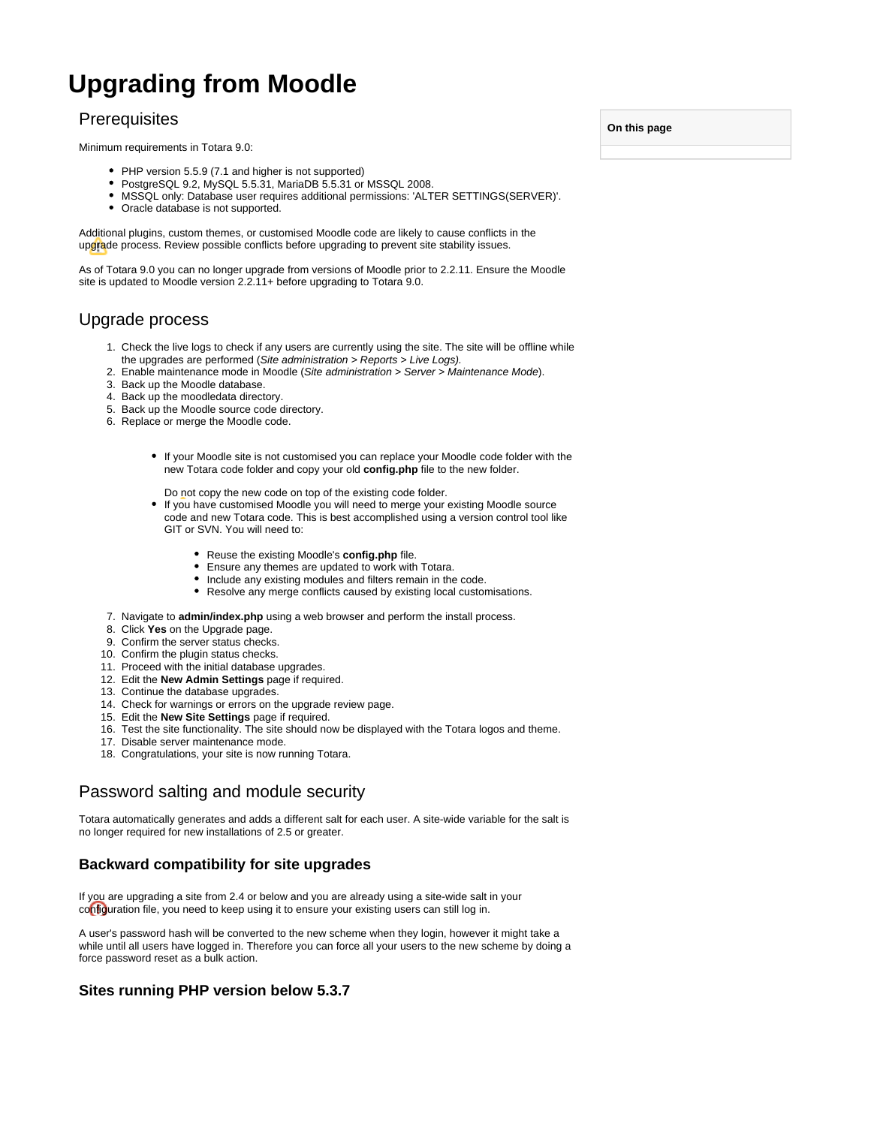# **Upgrading from Moodle**

## **Prerequisites**

Minimum requirements in Totara 9.0:

- PHP version 5.5.9 (7.1 and higher is not supported)
- PostgreSQL 9.2, MySQL 5.5.31, MariaDB 5.5.31 or MSSQL 2008.
- MSSQL only: Database user requires additional permissions: 'ALTER SETTINGS(SERVER)'.
- Oracle database is not supported.

Additional plugins, custom themes, or customised Moodle code are likely to cause conflicts in the upgrade process. Review possible conflicts before upgrading to prevent site stability issues.

As of Totara 9.0 you can no longer upgrade from versions of Moodle prior to 2.2.11. Ensure the Moodle site is updated to Moodle version 2.2.11+ before upgrading to Totara 9.0.

## Upgrade process

- 1. Check the live logs to check if any users are currently using the site. The site will be offline while the upgrades are performed (Site administration > Reports > Live Logs).
- 2. Enable maintenance mode in Moodle (Site administration > Server > Maintenance Mode).
- 3. Back up the Moodle database.
- 4. Back up the moodledata directory.
- 5. Back up the Moodle source code directory.
- 6. Replace or merge the Moodle code.
	- If your Moodle site is not customised you can replace your Moodle code folder with the new Totara code folder and copy your old **config.php** file to the new folder.

Do not copy the new code on top of the existing code folder.

- If you have customised Moodle you will need to merge your existing Moodle source code and new Totara code. This is best accomplished using a version control tool like GIT or SVN. You will need to:
	- Reuse the existing Moodle's **config.php** file.
	- Ensure any themes are updated to work with Totara.
	- Include any existing modules and filters remain in the code.
	- Resolve any merge conflicts caused by existing local customisations.
- 7. Navigate to **admin/index.php** using a web browser and perform the install process.
- 8. Click **Yes** on the Upgrade page.
- 9. Confirm the server status checks.
- 10. Confirm the plugin status checks.
- 11. Proceed with the initial database upgrades.
- 12. Edit the **New Admin Settings** page if required.
- 
- 13. Continue the database upgrades.
- 14. Check for warnings or errors on the upgrade review page. 15. Edit the **New Site Settings** page if required.
- 16. Test the site functionality. The site should now be displayed with the Totara logos and theme.
- 17. Disable server maintenance mode.
- 18. Congratulations, your site is now running Totara.

## Password salting and module security

Totara automatically generates and adds a different salt for each user. A site-wide variable for the salt is no longer required for new installations of 2.5 or greater.

#### **Backward compatibility for site upgrades**

If you are upgrading a site from 2.4 or below and you are already using a site-wide salt in your configuration file, you need to keep using it to ensure your existing users can still log in.

A user's password hash will be converted to the new scheme when they login, however it might take a while until all users have logged in. Therefore you can force all your users to the new scheme by doing a force password reset as a bulk action.

#### **Sites running PHP version below 5.3.7**

**On this page**